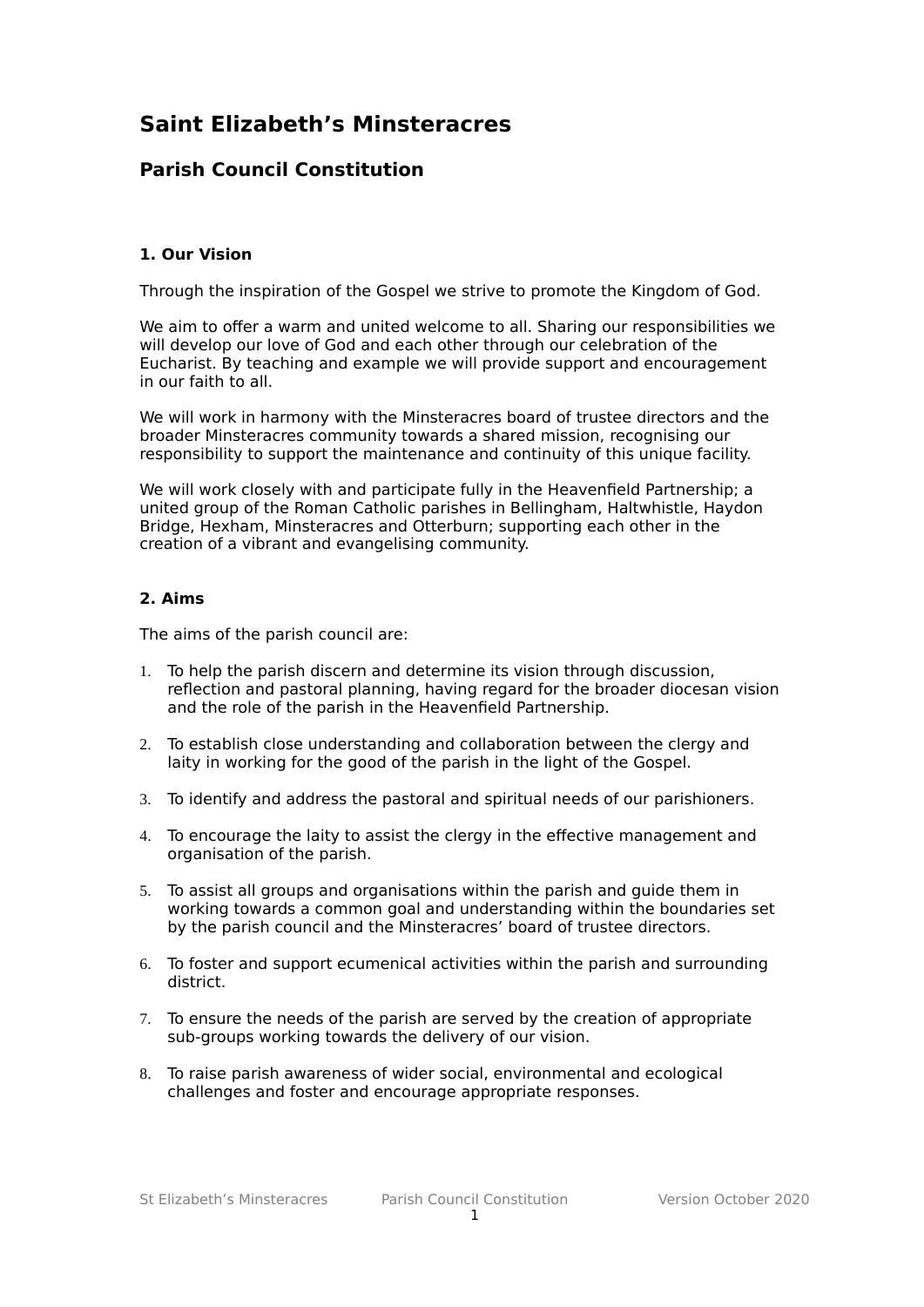# **Saint Elizabeth's Minsteracres**

# **Parish Council Constitution**

#### **1. Our Vision**

Through the inspiration of the Gospel we strive to promote the Kingdom of God.

We aim to offer a warm and united welcome to all. Sharing our responsibilities we will develop our love of God and each other through our celebration of the Eucharist. By teaching and example we will provide support and encouragement in our faith to all.

We will work in harmony with the Minsteracres board of trustee directors and the broader Minsteracres community towards a shared mission, recognising our responsibility to support the maintenance and continuity of this unique facility.

We will work closely with and participate fully in the Heavenfield Partnership; a united group of the Roman Catholic parishes in Bellingham, Haltwhistle, Haydon Bridge, Hexham, Minsteracres and Otterburn; supporting each other in the creation of a vibrant and evangelising community.

### **2. Aims**

The aims of the parish council are:

- 1. To help the parish discern and determine its vision through discussion, reflection and pastoral planning, having regard for the broader diocesan vision and the role of the parish in the Heavenfield Partnership.
- 2. To establish close understanding and collaboration between the clergy and laity in working for the good of the parish in the light of the Gospel.
- 3. To identify and address the pastoral and spiritual needs of our parishioners.
- 4. To encourage the laity to assist the clergy in the effective management and organisation of the parish.
- 5. To assist all groups and organisations within the parish and guide them in working towards a common goal and understanding within the boundaries set by the parish council and the Minsteracres' board of trustee directors.
- 6. To foster and support ecumenical activities within the parish and surrounding district.
- 7. To ensure the needs of the parish are served by the creation of appropriate sub-groups working towards the delivery of our vision.
- 8. To raise parish awareness of wider social, environmental and ecological challenges and foster and encourage appropriate responses.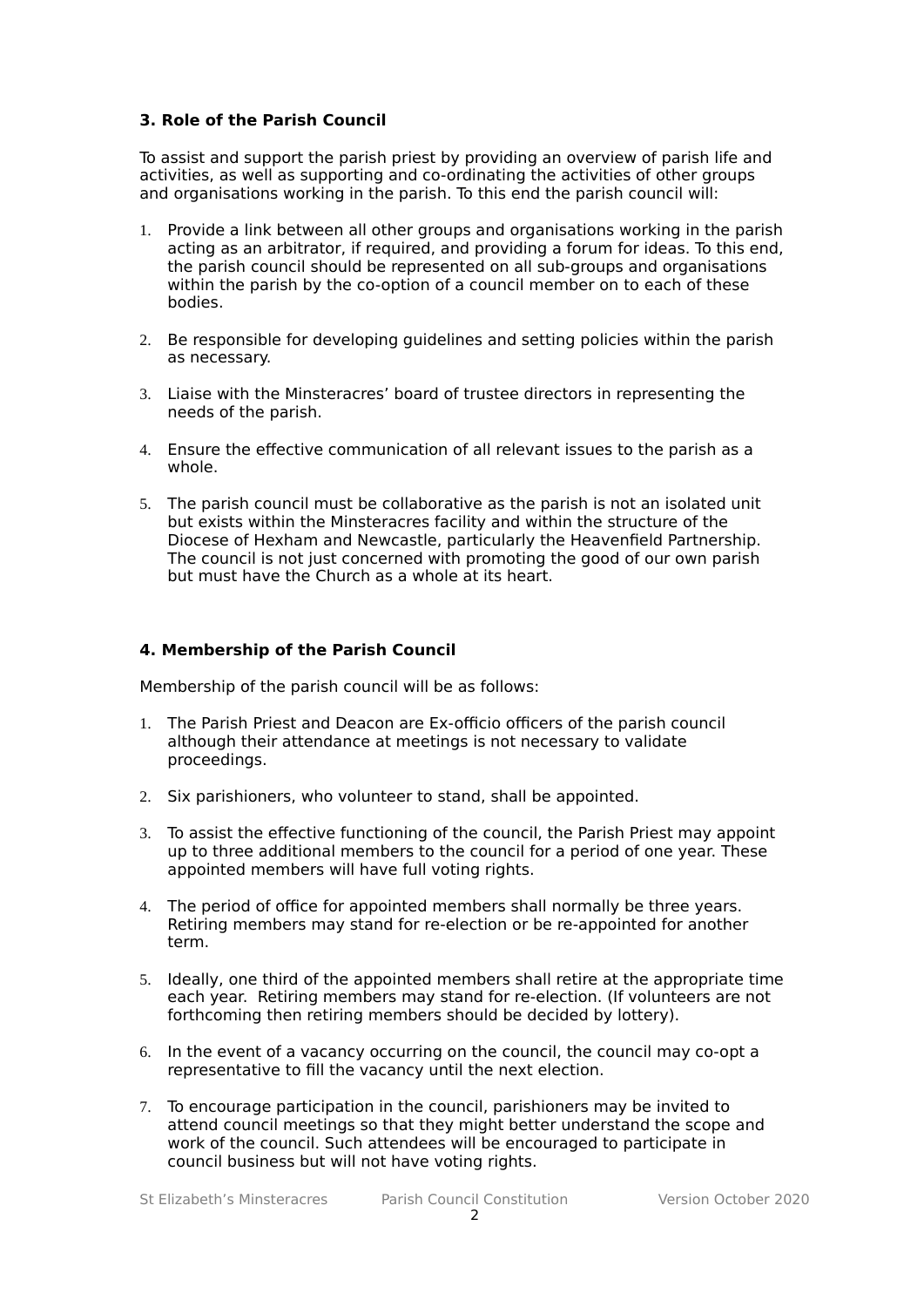## **3. Role of the Parish Council**

To assist and support the parish priest by providing an overview of parish life and activities, as well as supporting and co-ordinating the activities of other groups and organisations working in the parish. To this end the parish council will:

- 1. Provide a link between all other groups and organisations working in the parish acting as an arbitrator, if required, and providing a forum for ideas. To this end, the parish council should be represented on all sub-groups and organisations within the parish by the co-option of a council member on to each of these bodies.
- 2. Be responsible for developing guidelines and setting policies within the parish as necessary.
- 3. Liaise with the Minsteracres' board of trustee directors in representing the needs of the parish.
- 4. Ensure the effective communication of all relevant issues to the parish as a whole.
- 5. The parish council must be collaborative as the parish is not an isolated unit but exists within the Minsteracres facility and within the structure of the Diocese of Hexham and Newcastle, particularly the Heavenfield Partnership. The council is not just concerned with promoting the good of our own parish but must have the Church as a whole at its heart.

## **4. Membership of the Parish Council**

Membership of the parish council will be as follows:

- 1. The Parish Priest and Deacon are Ex-officio officers of the parish council although their attendance at meetings is not necessary to validate proceedings.
- 2. Six parishioners, who volunteer to stand, shall be appointed.
- 3. To assist the effective functioning of the council, the Parish Priest may appoint up to three additional members to the council for a period of one year. These appointed members will have full voting rights.
- 4. The period of office for appointed members shall normally be three years. Retiring members may stand for re-election or be re-appointed for another term.
- 5. Ideally, one third of the appointed members shall retire at the appropriate time each year. Retiring members may stand for re-election. (If volunteers are not forthcoming then retiring members should be decided by lottery).
- 6. In the event of a vacancy occurring on the council, the council may co-opt a representative to fill the vacancy until the next election.
- 7. To encourage participation in the council, parishioners may be invited to attend council meetings so that they might better understand the scope and work of the council. Such attendees will be encouraged to participate in council business but will not have voting rights.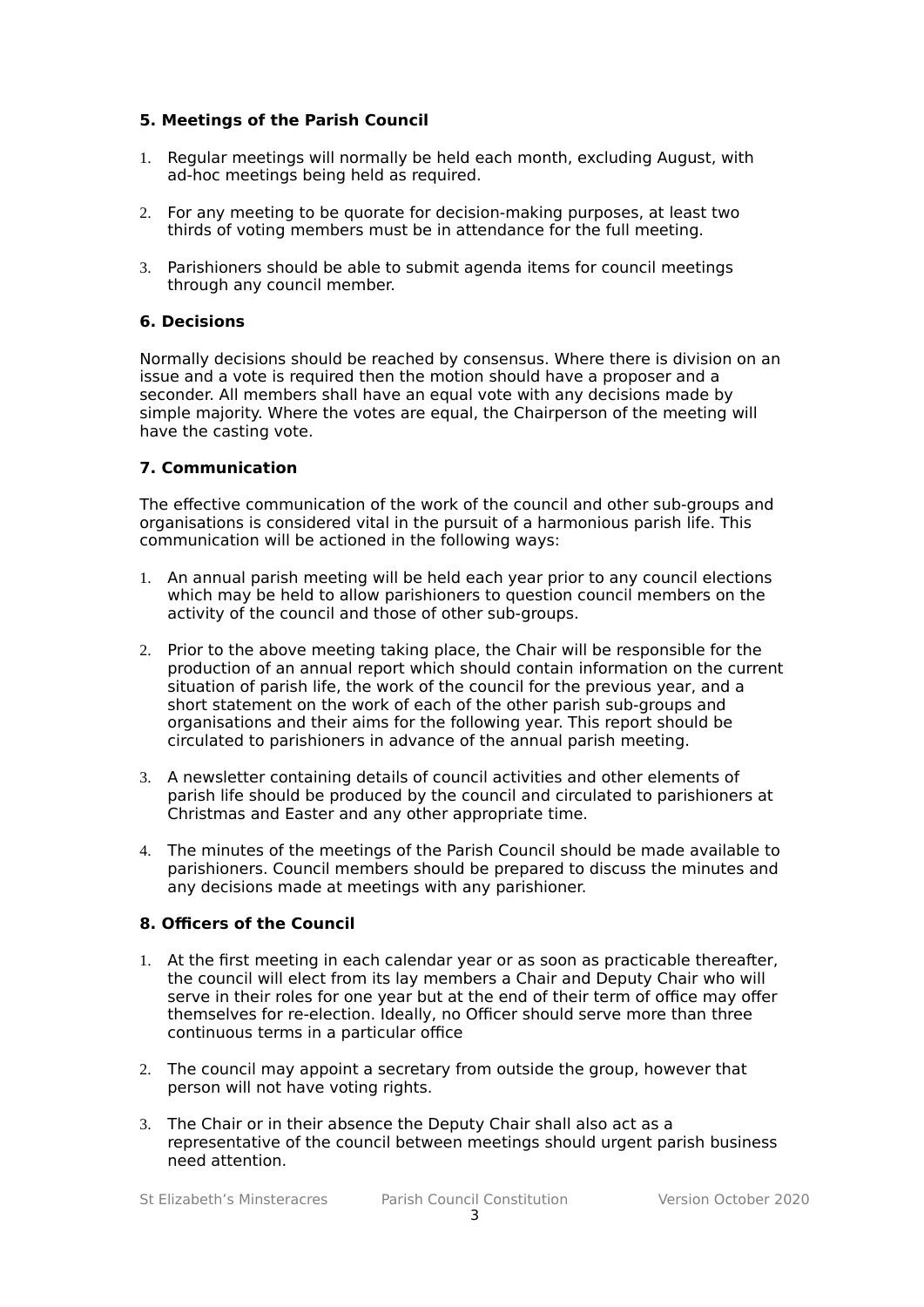#### **5. Meetings of the Parish Council**

- 1. Regular meetings will normally be held each month, excluding August, with ad-hoc meetings being held as required.
- 2. For any meeting to be quorate for decision-making purposes, at least two thirds of voting members must be in attendance for the full meeting.
- 3. Parishioners should be able to submit agenda items for council meetings through any council member.

#### **6. Decisions**

Normally decisions should be reached by consensus. Where there is division on an issue and a vote is required then the motion should have a proposer and a seconder. All members shall have an equal vote with any decisions made by simple majority. Where the votes are equal, the Chairperson of the meeting will have the casting vote.

#### **7. Communication**

The effective communication of the work of the council and other sub-groups and organisations is considered vital in the pursuit of a harmonious parish life. This communication will be actioned in the following ways:

- 1. An annual parish meeting will be held each year prior to any council elections which may be held to allow parishioners to question council members on the activity of the council and those of other sub-groups.
- 2. Prior to the above meeting taking place, the Chair will be responsible for the production of an annual report which should contain information on the current situation of parish life, the work of the council for the previous year, and a short statement on the work of each of the other parish sub-groups and organisations and their aims for the following year. This report should be circulated to parishioners in advance of the annual parish meeting.
- 3. A newsletter containing details of council activities and other elements of parish life should be produced by the council and circulated to parishioners at Christmas and Easter and any other appropriate time.
- 4. The minutes of the meetings of the Parish Council should be made available to parishioners. Council members should be prepared to discuss the minutes and any decisions made at meetings with any parishioner.

#### **8. Officers of the Council**

- 1. At the first meeting in each calendar year or as soon as practicable thereafter, the council will elect from its lay members a Chair and Deputy Chair who will serve in their roles for one year but at the end of their term of office may offer themselves for re-election. Ideally, no Officer should serve more than three continuous terms in a particular office
- 2. The council may appoint a secretary from outside the group, however that person will not have voting rights.
- 3. The Chair or in their absence the Deputy Chair shall also act as a representative of the council between meetings should urgent parish business need attention.